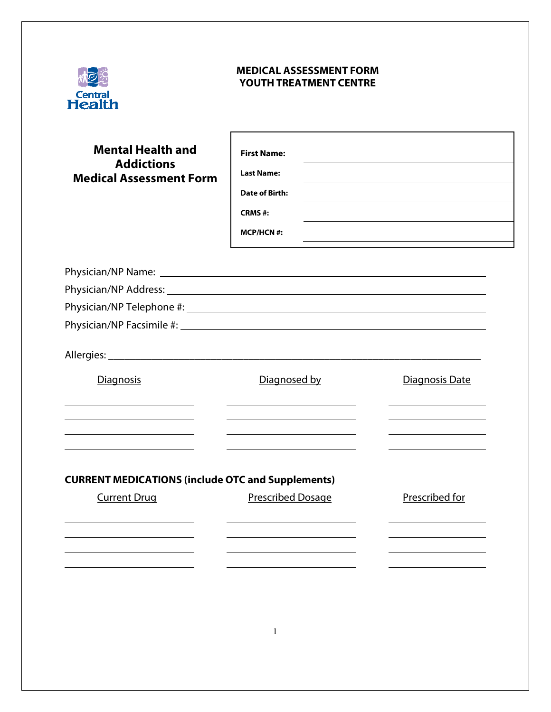

## **MEDICAL ASSESSMENT FORM YOUTH TREATMENT CENTRE**

| <b>Mental Health and</b><br><b>Addictions</b><br><b>Medical Assessment Form</b> | <b>First Name:</b><br><b>Last Name:</b><br>Date of Birth:<br>CRMS#:<br>$MCP/HCN$ #: |                |
|---------------------------------------------------------------------------------|-------------------------------------------------------------------------------------|----------------|
|                                                                                 |                                                                                     |                |
|                                                                                 |                                                                                     |                |
|                                                                                 |                                                                                     |                |
|                                                                                 |                                                                                     |                |
|                                                                                 |                                                                                     |                |
| Diagnosis                                                                       | Diagnosed by                                                                        | Diagnosis Date |
| <b>CURRENT MEDICATIONS (include OTC and Supplements)</b><br><b>Current Drug</b> | Prescribed Dosage                                                                   | Prescribed for |
|                                                                                 |                                                                                     |                |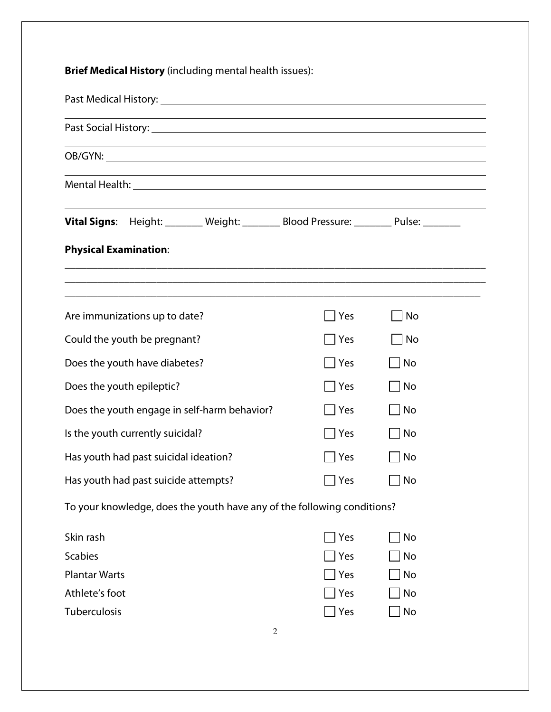**Brief Medical History** (including mental health issues): Past Medical History:  $\overline{a}$ Past Social History: OB/GYN: Mental Health: **Vital Signs:** Height: \_\_\_\_\_\_\_ Weight: \_\_\_\_\_\_\_ Blood Pressure: \_\_\_\_\_\_\_ Pulse: \_\_\_\_\_\_\_ **Physical Examination**: \_\_\_\_\_\_\_\_\_\_\_\_\_\_\_\_\_\_\_\_\_\_\_\_\_\_\_\_\_\_\_\_\_\_\_\_\_\_\_\_\_\_\_\_\_\_\_\_\_\_\_\_\_\_\_\_\_\_\_\_\_\_\_\_\_\_\_\_\_\_\_\_\_\_\_\_\_\_ \_\_\_\_\_\_\_\_\_\_\_\_\_\_\_\_\_\_\_\_\_\_\_\_\_\_\_\_\_\_\_\_\_\_\_\_\_\_\_\_\_\_\_\_\_\_\_\_\_\_\_\_\_\_\_\_\_\_\_\_\_\_\_\_\_\_\_\_\_\_\_\_\_\_\_\_\_\_ \_\_\_\_\_\_\_\_\_\_\_\_\_\_\_\_\_\_\_\_\_\_\_\_\_\_\_\_\_\_\_\_\_\_\_\_\_\_\_\_\_\_\_\_\_\_\_\_\_\_\_\_\_\_\_\_\_\_\_\_\_\_\_\_\_\_\_\_\_\_\_\_\_\_\_\_\_ Are immunizations up to date?  $\Box$  Yes  $\Box$  No Could the youth be pregnant?  $\Box$  Yes  $\Box$  No Does the youth have diabetes?  $\Box$  Yes  $\Box$  No Does the youth epileptic?  $\Box$  Yes  $\Box$  No Does the youth engage in self-harm behavior?  $\Box$  Yes  $\Box$  No Is the youth currently suicidal?  $\Box$  Yes  $\Box$  No Has youth had past suicidal ideation?  $\Box$  Yes  $\Box$  No Has youth had past suicide attempts?  $\Box$  Yes  $\Box$  No To your knowledge, does the youth have any of the following conditions? Skin rash No Scabies  $\Box$  Yes  $\Box$  No Plantar Warts  $\Box$  Yes  $\Box$  No Athlete's foot  $\Box$  Yes  $\Box$  No

2

Tuberculosis  $\Box$  Yes  $\Box$  No